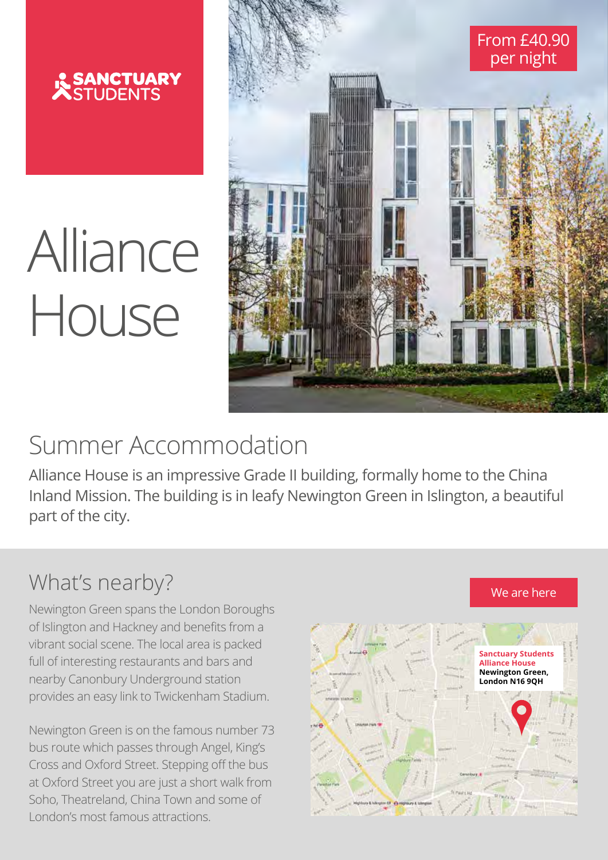

# Alliance House



## Summer Accommodation

Alliance House is an impressive Grade II building, formally home to the China Inland Mission. The building is in leafy Newington Green in Islington, a beautiful part of the city. **start from £40.90**

#### What's nearby?

Newington Green spans the London Boroughs of Islington and Hackney and benefits from a<br>——————————————————— vibrant social scene. The local area is packed full of interesting restaurants and bars and nearby Canonbury Underground station and benefits from the provides an easy link to Twickenham Stadium. and and barbarra i wickenham Stadium.

Newington Green is on the famous number 73 bus route which passes through Angel, King's Cross and Oxford Street. Stepping off the bus at Oxford Street you are just a short walk from Soho, Theatreland, China Town and some of London's most famous attractions. famous attractions. number 73 bus route which passes . Stepping off the bus  $\blacksquare$ just a short waik irom <sub>i</sub>  $T$  Town and some of  $T$ 



We are here